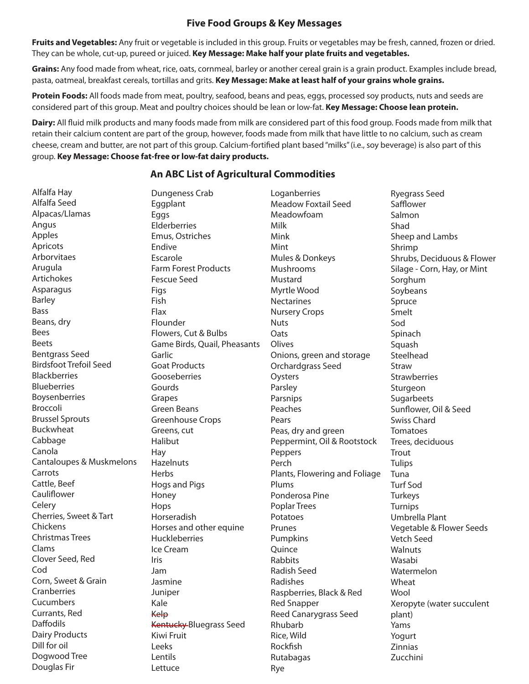## **Five Food Groups & Key Messages**

**Fruits and Vegetables:** Any fruit or vegetable is included in this group. Fruits or vegetables may be fresh, canned, frozen or dried. They can be whole, cut-up, pureed or juiced. **Key Message: Make half your plate fruits and vegetables.** 

Grains: Any food made from wheat, rice, oats, cornmeal, barley or another cereal grain is a grain product. Examples include bread, pasta, oatmeal, breakfast cereals, tortillas and grits. **Key Message: Make at least half of your grains whole grains.** 

**Protein Foods:** All foods made from meat, poultry, seafood, beans and peas, eggs, processed soy products, nuts and seeds are considered part of this group. Meat and poultry choices should be lean or low-fat. **Key Message: Choose lean protein.**

**Dairy:** All fluid milk products and many foods made from milk are considered part of this food group. Foods made from milk that retain their calcium content are part of the group, however, foods made from milk that have little to no calcium, such as cream cheese, cream and butter, are not part of this group. Calcium-fortified plant based "milks" (i.e., soy beverage) is also part of this group. **Key Message: Choose fat-free or low-fat dairy products.**

## **An ABC List of Agricultural Commodities**

| Alfalfa Hay                   | Dungeness Crab               | Loganberries                  | <b>Ryegrass Seed</b>        |
|-------------------------------|------------------------------|-------------------------------|-----------------------------|
| Alfalfa Seed                  | Eggplant                     | <b>Meadow Foxtail Seed</b>    | Safflower                   |
| Alpacas/Llamas                | Eggs                         | Meadowfoam                    | Salmon                      |
| Angus                         | Elderberries                 | Milk                          | Shad                        |
| Apples                        | Emus, Ostriches              | Mink                          | Sheep and Lambs             |
| Apricots                      | Endive                       | Mint                          | Shrimp                      |
| Arborvitaes                   | Escarole                     | Mules & Donkeys               | Shrubs, Deciduous & Flower  |
| Arugula                       | <b>Farm Forest Products</b>  | Mushrooms                     | Silage - Corn, Hay, or Mint |
| Artichokes                    | <b>Fescue Seed</b>           | Mustard                       | Sorghum                     |
| Asparagus                     | Figs                         | Myrtle Wood                   | Soybeans                    |
| <b>Barley</b>                 | Fish                         | <b>Nectarines</b>             | Spruce                      |
| <b>Bass</b>                   | Flax                         | <b>Nursery Crops</b>          | Smelt                       |
| Beans, dry                    | Flounder                     | <b>Nuts</b>                   | Sod                         |
| <b>Bees</b>                   | Flowers, Cut & Bulbs         | Oats                          | Spinach                     |
| <b>Beets</b>                  | Game Birds, Quail, Pheasants | Olives                        | Squash                      |
| <b>Bentgrass Seed</b>         | Garlic                       | Onions, green and storage     | Steelhead                   |
| <b>Birdsfoot Trefoil Seed</b> | <b>Goat Products</b>         | Orchardgrass Seed             | Straw                       |
| <b>Blackberries</b>           | Gooseberries                 | Oysters                       | <b>Strawberries</b>         |
| <b>Blueberries</b>            | Gourds                       | Parsley                       | Sturgeon                    |
| Boysenberries                 | Grapes                       | Parsnips                      | Sugarbeets                  |
| Broccoli                      | <b>Green Beans</b>           | Peaches                       | Sunflower, Oil & Seed       |
| <b>Brussel Sprouts</b>        | <b>Greenhouse Crops</b>      | Pears                         | <b>Swiss Chard</b>          |
| Buckwheat                     | Greens, cut                  | Peas, dry and green           | Tomatoes                    |
| Cabbage                       | Halibut                      | Peppermint, Oil & Rootstock   | Trees, deciduous            |
| Canola                        | Hay                          | Peppers                       | Trout                       |
| Cantaloupes & Muskmelons      | Hazelnuts                    | Perch                         | <b>Tulips</b>               |
| Carrots                       | Herbs                        | Plants, Flowering and Foliage | Tuna                        |
| Cattle, Beef                  | Hogs and Pigs                | Plums                         | <b>Turf Sod</b>             |
| Cauliflower                   | Honey                        | Ponderosa Pine                | Turkeys                     |
| Celery                        | Hops                         | <b>Poplar Trees</b>           | Turnips                     |
| Cherries, Sweet & Tart        | Horseradish                  | Potatoes                      | Umbrella Plant              |
| Chickens                      | Horses and other equine      | Prunes                        | Vegetable & Flower Seeds    |
| <b>Christmas Trees</b>        | Huckleberries                | Pumpkins                      | Vetch Seed                  |
| Clams                         | Ice Cream                    | Quince                        | Walnuts                     |
| Clover Seed, Red              | Iris                         | Rabbits                       | Wasabi                      |
| Cod                           | Jam                          | Radish Seed                   | Watermelon                  |
| Corn, Sweet & Grain           | Jasmine                      | Radishes                      | Wheat                       |
| Cranberries                   | Juniper                      | Raspberries, Black & Red      | Wool                        |
| Cucumbers                     | Kale                         | <b>Red Snapper</b>            | Xeropyte (water succulent   |
| Currants, Red                 | Kelp                         | <b>Reed Canarygrass Seed</b>  | plant)                      |
| <b>Daffodils</b>              | Kentucky-Bluegrass Seed      | Rhubarb                       | Yams                        |
| <b>Dairy Products</b>         | Kiwi Fruit                   | Rice, Wild                    | Yogurt                      |
| Dill for oil                  | Leeks                        | Rockfish                      | Zinnias                     |
| Dogwood Tree                  | Lentils                      | Rutabagas                     | Zucchini                    |
| Douglas Fir                   | Lettuce                      | Rye                           |                             |
|                               |                              |                               |                             |